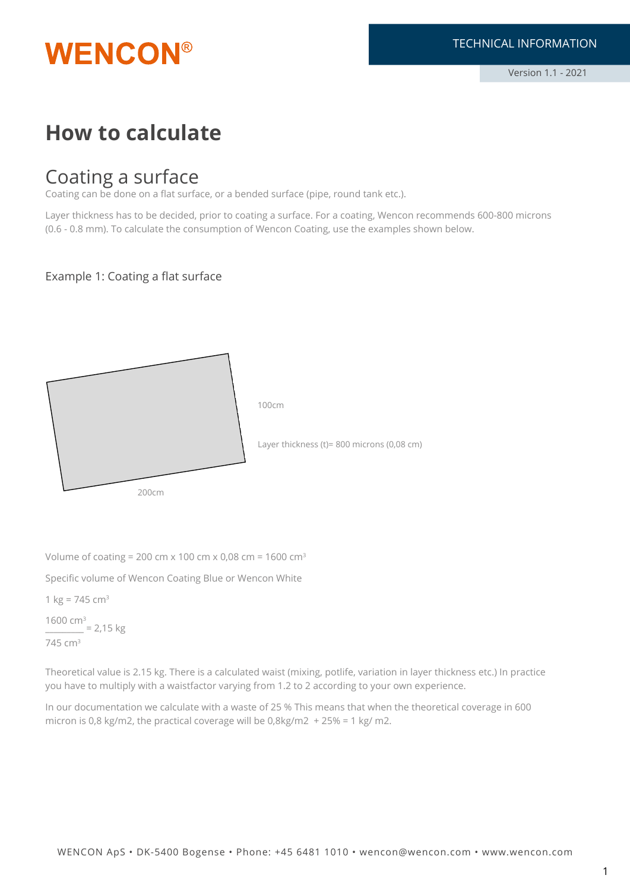

## **How to calculate**

### Coating a surface

Coating can be done on a flat surface, or a bended surface (pipe, round tank etc.).

Layer thickness has to be decided, prior to coating a surface. For a coating, Wencon recommends 600-800 microns (0.6 - 0.8 mm). To calculate the consumption of Wencon Coating, use the examples shown below.

### Example 1: Coating a flat surface



Volume of coating = 200 cm x 100 cm x 0,08 cm = 1600 cm<sup>3</sup>

Specific volume of Wencon Coating Blue or Wencon White

1  $kg = 745$  cm<sup>3</sup> 1600 cm3  $2,15$  kg 745 cm3

Theoretical value is 2.15 kg. There is a calculated waist (mixing, potlife, variation in layer thickness etc.) In practice you have to multiply with a waistfactor varying from 1.2 to 2 according to your own experience.

In our documentation we calculate with a waste of 25 % This means that when the theoretical coverage in 600 micron is 0,8 kg/m2, the practical coverage will be  $0.8$ kg/m2 + 25% = 1 kg/m2.